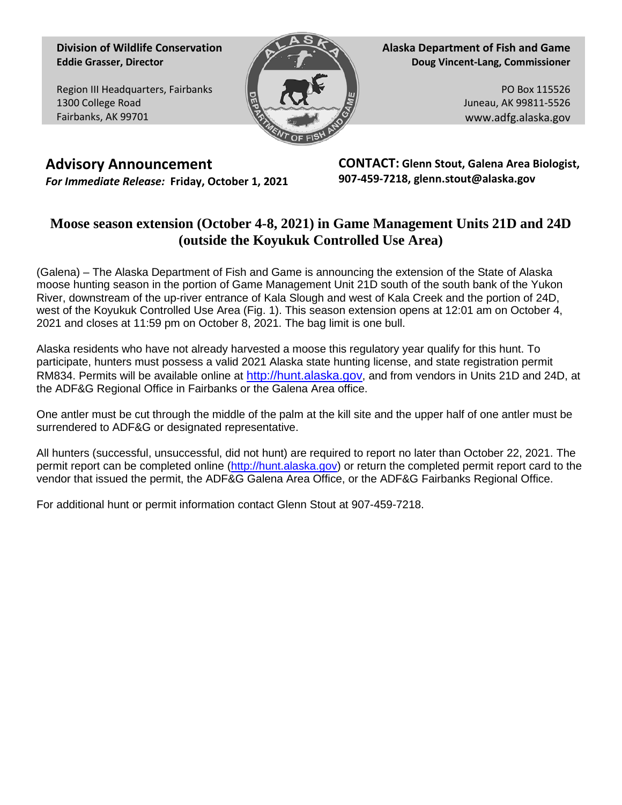**Division of Wildlife Conservation Eddie Grasser, Director**

Region III Headquarters, Fairbanks 1300 College Road Fairbanks, AK 99701



**Alaska Department of Fish and Game Doug Vincent-Lang, Commissioner**

> PO Box 115526 Juneau, AK 99811-5526 www.adfg.alaska.gov

**Advisory Announcement** *For Immediate Release:* **Friday, October 1, 2021** **CONTACT: Glenn Stout, Galena Area Biologist, 907-459-7218, glenn.stout@alaska.gov**

## **Moose season extension (October 4-8, 2021) in Game Management Units 21D and 24D (outside the Koyukuk Controlled Use Area)**

(Galena) – The Alaska Department of Fish and Game is announcing the extension of the State of Alaska moose hunting season in the portion of Game Management Unit 21D south of the south bank of the Yukon River, downstream of the up-river entrance of Kala Slough and west of Kala Creek and the portion of 24D, west of the Koyukuk Controlled Use Area (Fig. 1). This season extension opens at 12:01 am on October 4, 2021 and closes at 11:59 pm on October 8, 2021. The bag limit is one bull.

Alaska residents who have not already harvested a moose this regulatory year qualify for this hunt. To participate, hunters must possess a valid 2021 Alaska state hunting license, and state registration permit RM834. Permits will be available online at [http://hunt.alaska.gov,](http://hunt.alaska.gov/) and from vendors in Units 21D and 24D, at the ADF&G Regional Office in Fairbanks or the Galena Area office.

One antler must be cut through the middle of the palm at the kill site and the upper half of one antler must be surrendered to ADF&G or designated representative.

All hunters (successful, unsuccessful, did not hunt) are required to report no later than October 22, 2021. The permit report can be completed online [\(http://hunt.alaska.gov\)](http://hunt.alaska.gov/) or return the completed permit report card to the vendor that issued the permit, the ADF&G Galena Area Office, or the ADF&G Fairbanks Regional Office.

For additional hunt or permit information contact Glenn Stout at 907-459-7218.